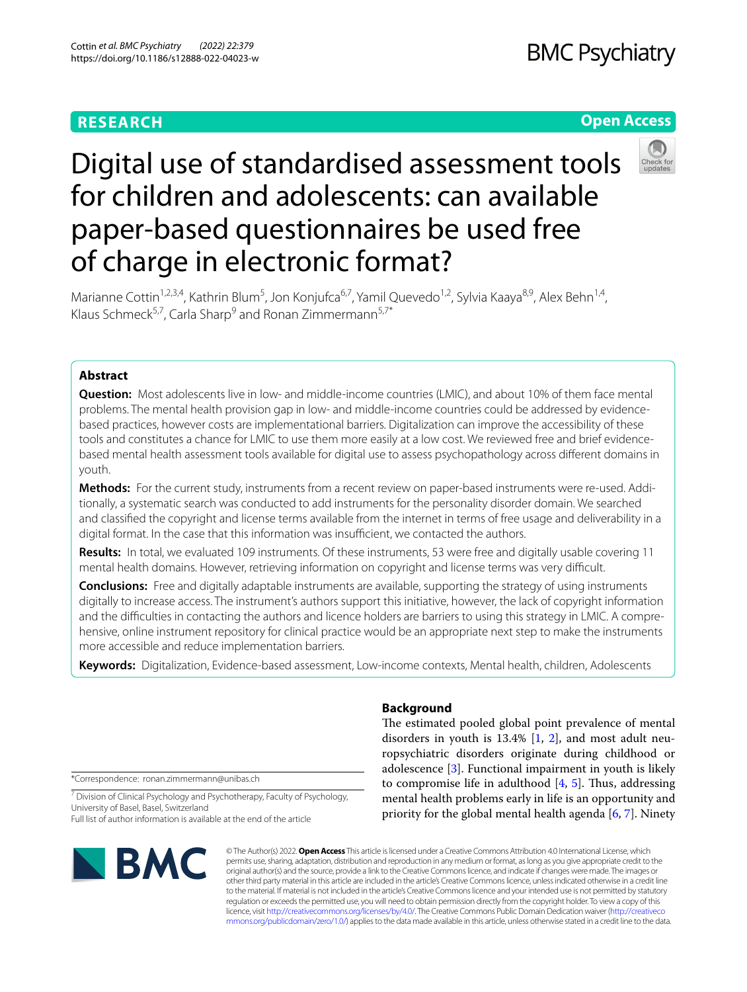# **RESEARCH**

# **Open Access**



# Digital use of standardised assessment tools for children and adolescents: can available paper-based questionnaires be used free of charge in electronic format?

Marianne Cottin<sup>1,2,3,4</sup>, Kathrin Blum<sup>5</sup>, Jon Konjufca<sup>6,7</sup>, Yamil Quevedo<sup>1,2</sup>, Sylvia Kaaya<sup>8,9</sup>, Alex Behn<sup>1,4</sup>, Klaus Schmeck<sup>5,7</sup>, Carla Sharp<sup>9</sup> and Ronan Zimmermann<sup>5,7\*</sup>

# **Abstract**

**Question:** Most adolescents live in low- and middle-income countries (LMIC), and about 10% of them face mental problems. The mental health provision gap in low- and middle-income countries could be addressed by evidencebased practices, however costs are implementational barriers. Digitalization can improve the accessibility of these tools and constitutes a chance for LMIC to use them more easily at a low cost. We reviewed free and brief evidencebased mental health assessment tools available for digital use to assess psychopathology across diferent domains in youth.

**Methods:** For the current study, instruments from a recent review on paper-based instruments were re-used. Additionally, a systematic search was conducted to add instruments for the personality disorder domain. We searched and classifed the copyright and license terms available from the internet in terms of free usage and deliverability in a digital format. In the case that this information was insufficient, we contacted the authors.

**Results:** In total, we evaluated 109 instruments. Of these instruments, 53 were free and digitally usable covering 11 mental health domains. However, retrieving information on copyright and license terms was very difficult.

**Conclusions:** Free and digitally adaptable instruments are available, supporting the strategy of using instruments digitally to increase access. The instrument's authors support this initiative, however, the lack of copyright information and the difculties in contacting the authors and licence holders are barriers to using this strategy in LMIC. A comprehensive, online instrument repository for clinical practice would be an appropriate next step to make the instruments more accessible and reduce implementation barriers.

**Keywords:** Digitalization, Evidence-based assessment, Low-income contexts, Mental health, children, Adolescents

\*Correspondence: ronan.zimmermann@unibas.ch

<sup>7</sup> Division of Clinical Psychology and Psychotherapy, Faculty of Psychology, University of Basel, Basel, Switzerland Full list of author information is available at the end of the article



# **Background**

The estimated pooled global point prevalence of mental disorders in youth is 13.4% [[1,](#page-6-0) [2\]](#page-6-1), and most adult neuropsychiatric disorders originate during childhood or adolescence [[3\]](#page-6-2). Functional impairment in youth is likely to compromise life in adulthood  $[4, 5]$  $[4, 5]$  $[4, 5]$  $[4, 5]$ . Thus, addressing mental health problems early in life is an opportunity and priority for the global mental health agenda [\[6](#page-6-5), [7\]](#page-6-6). Ninety

© The Author(s) 2022. **Open Access** This article is licensed under a Creative Commons Attribution 4.0 International License, which permits use, sharing, adaptation, distribution and reproduction in any medium or format, as long as you give appropriate credit to the original author(s) and the source, provide a link to the Creative Commons licence, and indicate if changes were made. The images or other third party material in this article are included in the article's Creative Commons licence, unless indicated otherwise in a credit line to the material. If material is not included in the article's Creative Commons licence and your intended use is not permitted by statutory regulation or exceeds the permitted use, you will need to obtain permission directly from the copyright holder. To view a copy of this licence, visit [http://creativecommons.org/licenses/by/4.0/.](http://creativecommons.org/licenses/by/4.0/) The Creative Commons Public Domain Dedication waiver ([http://creativeco](http://creativecommons.org/publicdomain/zero/1.0/) [mmons.org/publicdomain/zero/1.0/](http://creativecommons.org/publicdomain/zero/1.0/)) applies to the data made available in this article, unless otherwise stated in a credit line to the data.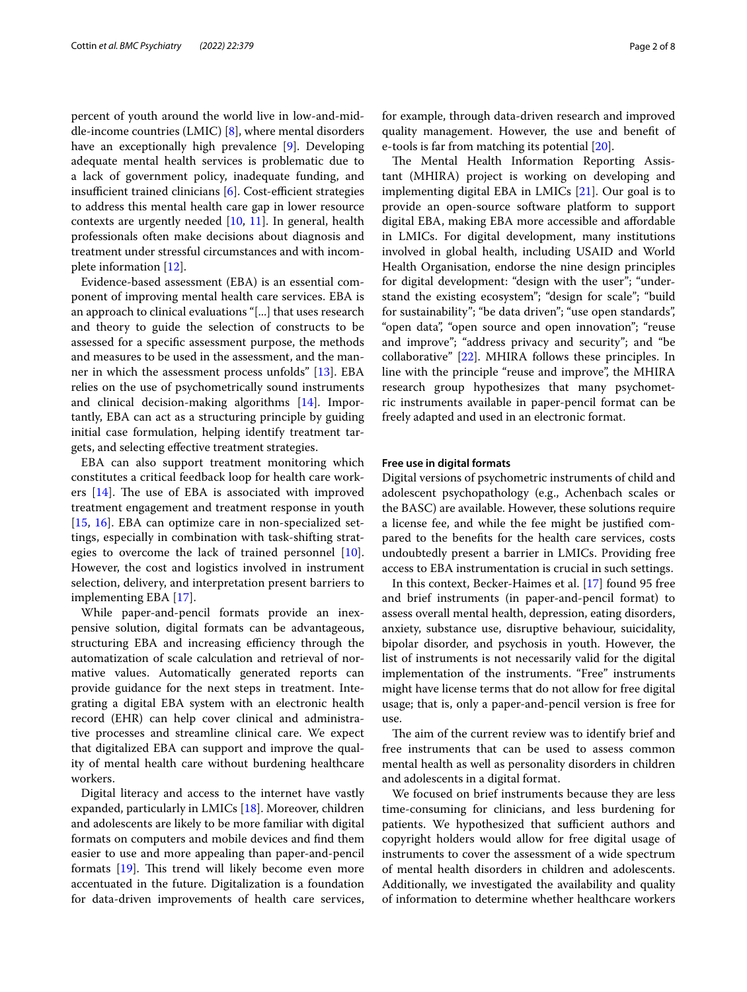percent of youth around the world live in low-and-middle-income countries (LMIC) [\[8](#page-6-7)], where mental disorders have an exceptionally high prevalence [[9\]](#page-6-8). Developing adequate mental health services is problematic due to a lack of government policy, inadequate funding, and insufficient trained clinicians  $[6]$  $[6]$ . Cost-efficient strategies to address this mental health care gap in lower resource contexts are urgently needed [[10](#page-6-9), [11\]](#page-6-10). In general, health professionals often make decisions about diagnosis and treatment under stressful circumstances and with incomplete information [[12](#page-7-0)].

Evidence-based assessment (EBA) is an essential component of improving mental health care services. EBA is an approach to clinical evaluations "[...] that uses research and theory to guide the selection of constructs to be assessed for a specifc assessment purpose, the methods and measures to be used in the assessment, and the manner in which the assessment process unfolds" [\[13](#page-7-1)]. EBA relies on the use of psychometrically sound instruments and clinical decision-making algorithms [\[14](#page-7-2)]. Importantly, EBA can act as a structuring principle by guiding initial case formulation, helping identify treatment targets, and selecting efective treatment strategies.

EBA can also support treatment monitoring which constitutes a critical feedback loop for health care workers  $[14]$  $[14]$ . The use of EBA is associated with improved treatment engagement and treatment response in youth [[15,](#page-7-3) [16](#page-7-4)]. EBA can optimize care in non-specialized settings, especially in combination with task-shifting strategies to overcome the lack of trained personnel [\[10](#page-6-9)]. However, the cost and logistics involved in instrument selection, delivery, and interpretation present barriers to implementing EBA [\[17](#page-7-5)].

While paper-and-pencil formats provide an inexpensive solution, digital formats can be advantageous, structuring EBA and increasing efficiency through the automatization of scale calculation and retrieval of normative values. Automatically generated reports can provide guidance for the next steps in treatment. Integrating a digital EBA system with an electronic health record (EHR) can help cover clinical and administrative processes and streamline clinical care. We expect that digitalized EBA can support and improve the quality of mental health care without burdening healthcare workers.

Digital literacy and access to the internet have vastly expanded, particularly in LMICs [[18\]](#page-7-6). Moreover, children and adolescents are likely to be more familiar with digital formats on computers and mobile devices and fnd them easier to use and more appealing than paper-and-pencil formats  $[19]$  $[19]$ . This trend will likely become even more accentuated in the future. Digitalization is a foundation for data-driven improvements of health care services,

for example, through data-driven research and improved quality management. However, the use and beneft of e-tools is far from matching its potential [[20\]](#page-7-8).

The Mental Health Information Reporting Assistant (MHIRA) project is working on developing and implementing digital EBA in LMICs [[21\]](#page-7-9). Our goal is to provide an open-source software platform to support digital EBA, making EBA more accessible and afordable in LMICs. For digital development, many institutions involved in global health, including USAID and World Health Organisation, endorse the nine design principles for digital development: "design with the user"; "understand the existing ecosystem"; "design for scale"; "build for sustainability"; "be data driven"; "use open standards", "open data", "open source and open innovation"; "reuse and improve"; "address privacy and security"; and "be collaborative" [[22\]](#page-7-10). MHIRA follows these principles. In line with the principle "reuse and improve", the MHIRA research group hypothesizes that many psychometric instruments available in paper-pencil format can be freely adapted and used in an electronic format.

# **Free use in digital formats**

Digital versions of psychometric instruments of child and adolescent psychopathology (e.g., Achenbach scales or the BASC) are available. However, these solutions require a license fee, and while the fee might be justifed compared to the benefts for the health care services, costs undoubtedly present a barrier in LMICs. Providing free access to EBA instrumentation is crucial in such settings.

In this context, Becker-Haimes et al. [[17\]](#page-7-5) found 95 free and brief instruments (in paper-and-pencil format) to assess overall mental health, depression, eating disorders, anxiety, substance use, disruptive behaviour, suicidality, bipolar disorder, and psychosis in youth. However, the list of instruments is not necessarily valid for the digital implementation of the instruments. "Free" instruments might have license terms that do not allow for free digital usage; that is, only a paper-and-pencil version is free for use.

The aim of the current review was to identify brief and free instruments that can be used to assess common mental health as well as personality disorders in children and adolescents in a digital format.

We focused on brief instruments because they are less time-consuming for clinicians, and less burdening for patients. We hypothesized that sufficient authors and copyright holders would allow for free digital usage of instruments to cover the assessment of a wide spectrum of mental health disorders in children and adolescents. Additionally, we investigated the availability and quality of information to determine whether healthcare workers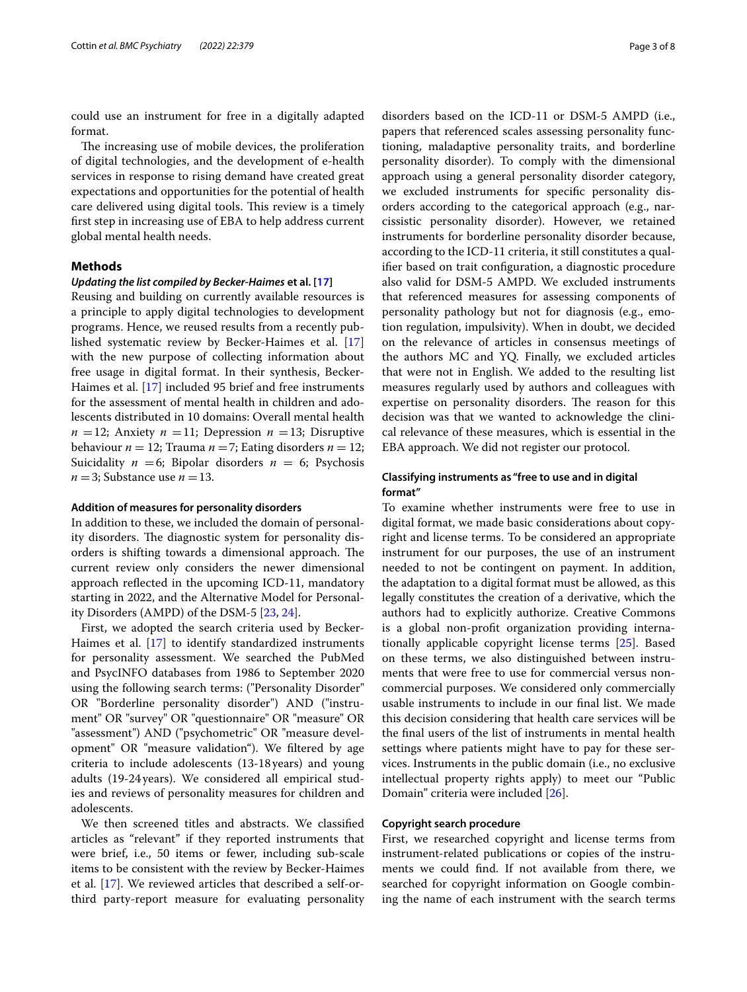could use an instrument for free in a digitally adapted format.

The increasing use of mobile devices, the proliferation of digital technologies, and the development of e-health services in response to rising demand have created great expectations and opportunities for the potential of health care delivered using digital tools. This review is a timely frst step in increasing use of EBA to help address current global mental health needs.

# **Methods**

#### *Updating the list compiled by Becker‑Haimes* **et al. [[17\]](#page-7-5)**

Reusing and building on currently available resources is a principle to apply digital technologies to development programs. Hence, we reused results from a recently published systematic review by Becker-Haimes et al. [[17](#page-7-5)] with the new purpose of collecting information about free usage in digital format. In their synthesis, Becker-Haimes et al. [\[17](#page-7-5)] included 95 brief and free instruments for the assessment of mental health in children and adolescents distributed in 10 domains: Overall mental health  $n = 12$ ; Anxiety  $n = 11$ ; Depression  $n = 13$ ; Disruptive behaviour  $n = 12$ ; Trauma  $n = 7$ ; Eating disorders  $n = 12$ ; Suicidality  $n = 6$ ; Bipolar disorders  $n = 6$ ; Psychosis  $n = 3$ ; Substance use  $n = 13$ .

#### **Addition of measures for personality disorders**

In addition to these, we included the domain of personality disorders. The diagnostic system for personality disorders is shifting towards a dimensional approach. The current review only considers the newer dimensional approach refected in the upcoming ICD-11, mandatory starting in 2022, and the Alternative Model for Personality Disorders (AMPD) of the DSM-5 [\[23](#page-7-11), [24\]](#page-7-12).

First, we adopted the search criteria used by Becker-Haimes et al. [[17\]](#page-7-5) to identify standardized instruments for personality assessment. We searched the PubMed and PsycINFO databases from 1986 to September 2020 using the following search terms: ("Personality Disorder" OR "Borderline personality disorder") AND ("instrument" OR "survey" OR "questionnaire" OR "measure" OR "assessment") AND ("psychometric" OR "measure development" OR "measure validation"). We fltered by age criteria to include adolescents (13-18years) and young adults (19-24years). We considered all empirical studies and reviews of personality measures for children and adolescents.

We then screened titles and abstracts. We classifed articles as "relevant" if they reported instruments that were brief, i.e., 50 items or fewer, including sub-scale items to be consistent with the review by Becker-Haimes et al. [\[17\]](#page-7-5). We reviewed articles that described a self-orthird party-report measure for evaluating personality disorders based on the ICD-11 or DSM-5 AMPD (i.e., papers that referenced scales assessing personality functioning, maladaptive personality traits, and borderline personality disorder). To comply with the dimensional approach using a general personality disorder category, we excluded instruments for specifc personality disorders according to the categorical approach (e.g., narcissistic personality disorder). However, we retained instruments for borderline personality disorder because, according to the ICD-11 criteria, it still constitutes a qualifer based on trait confguration, a diagnostic procedure also valid for DSM-5 AMPD. We excluded instruments that referenced measures for assessing components of personality pathology but not for diagnosis (e.g., emotion regulation, impulsivity). When in doubt, we decided on the relevance of articles in consensus meetings of the authors MC and YQ. Finally, we excluded articles that were not in English. We added to the resulting list measures regularly used by authors and colleagues with expertise on personality disorders. The reason for this decision was that we wanted to acknowledge the clinical relevance of these measures, which is essential in the EBA approach. We did not register our protocol.

# **Classifying instruments as "free to use and in digital format"**

To examine whether instruments were free to use in digital format, we made basic considerations about copyright and license terms. To be considered an appropriate instrument for our purposes, the use of an instrument needed to not be contingent on payment. In addition, the adaptation to a digital format must be allowed, as this legally constitutes the creation of a derivative, which the authors had to explicitly authorize. Creative Commons is a global non-proft organization providing internationally applicable copyright license terms [\[25\]](#page-7-13). Based on these terms, we also distinguished between instruments that were free to use for commercial versus noncommercial purposes. We considered only commercially usable instruments to include in our fnal list. We made this decision considering that health care services will be the fnal users of the list of instruments in mental health settings where patients might have to pay for these services. Instruments in the public domain (i.e., no exclusive intellectual property rights apply) to meet our "Public Domain" criteria were included [\[26](#page-7-14)].

# **Copyright search procedure**

First, we researched copyright and license terms from instrument-related publications or copies of the instruments we could fnd. If not available from there, we searched for copyright information on Google combining the name of each instrument with the search terms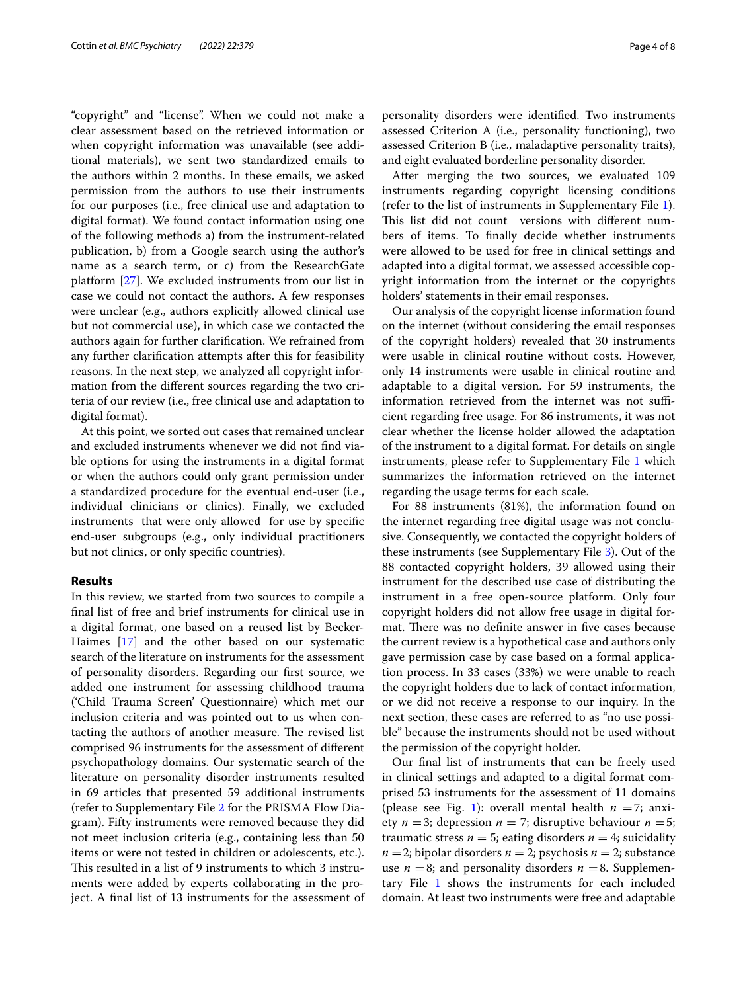"copyright" and "license". When we could not make a clear assessment based on the retrieved information or when copyright information was unavailable (see additional materials), we sent two standardized emails to the authors within 2 months. In these emails, we asked permission from the authors to use their instruments for our purposes (i.e., free clinical use and adaptation to digital format). We found contact information using one of the following methods a) from the instrument-related publication, b) from a Google search using the author's name as a search term, or c) from the ResearchGate platform [[27](#page-7-15)]. We excluded instruments from our list in case we could not contact the authors. A few responses were unclear (e.g., authors explicitly allowed clinical use but not commercial use), in which case we contacted the authors again for further clarifcation. We refrained from any further clarifcation attempts after this for feasibility reasons. In the next step, we analyzed all copyright information from the diferent sources regarding the two criteria of our review (i.e., free clinical use and adaptation to digital format).

At this point, we sorted out cases that remained unclear and excluded instruments whenever we did not fnd viable options for using the instruments in a digital format or when the authors could only grant permission under a standardized procedure for the eventual end-user (i.e., individual clinicians or clinics). Finally, we excluded instruments that were only allowed for use by specifc end-user subgroups (e.g., only individual practitioners but not clinics, or only specifc countries).

# **Results**

In this review, we started from two sources to compile a fnal list of free and brief instruments for clinical use in a digital format, one based on a reused list by Becker-Haimes [[17\]](#page-7-5) and the other based on our systematic search of the literature on instruments for the assessment of personality disorders. Regarding our frst source, we added one instrument for assessing childhood trauma ('Child Trauma Screen' Questionnaire) which met our inclusion criteria and was pointed out to us when contacting the authors of another measure. The revised list comprised 96 instruments for the assessment of diferent psychopathology domains. Our systematic search of the literature on personality disorder instruments resulted in 69 articles that presented 59 additional instruments (refer to Supplementary File [2](#page-6-11) for the PRISMA Flow Diagram). Fifty instruments were removed because they did not meet inclusion criteria (e.g., containing less than 50 items or were not tested in children or adolescents, etc.). This resulted in a list of 9 instruments to which 3 instruments were added by experts collaborating in the project. A fnal list of 13 instruments for the assessment of personality disorders were identifed. Two instruments assessed Criterion A (i.e., personality functioning), two assessed Criterion B (i.e., maladaptive personality traits), and eight evaluated borderline personality disorder.

After merging the two sources, we evaluated 109 instruments regarding copyright licensing conditions (refer to the list of instruments in Supplementary File [1](#page-6-12)). This list did not count versions with different numbers of items. To fnally decide whether instruments were allowed to be used for free in clinical settings and adapted into a digital format, we assessed accessible copyright information from the internet or the copyrights holders' statements in their email responses.

Our analysis of the copyright license information found on the internet (without considering the email responses of the copyright holders) revealed that 30 instruments were usable in clinical routine without costs. However, only 14 instruments were usable in clinical routine and adaptable to a digital version. For 59 instruments, the information retrieved from the internet was not sufficient regarding free usage. For 86 instruments, it was not clear whether the license holder allowed the adaptation of the instrument to a digital format. For details on single instruments, please refer to Supplementary File [1](#page-6-12) which summarizes the information retrieved on the internet regarding the usage terms for each scale.

For 88 instruments (81%), the information found on the internet regarding free digital usage was not conclusive. Consequently, we contacted the copyright holders of these instruments (see Supplementary File [3](#page-6-13)). Out of the 88 contacted copyright holders, 39 allowed using their instrument for the described use case of distributing the instrument in a free open-source platform. Only four copyright holders did not allow free usage in digital format. There was no definite answer in five cases because the current review is a hypothetical case and authors only gave permission case by case based on a formal application process. In 33 cases (33%) we were unable to reach the copyright holders due to lack of contact information, or we did not receive a response to our inquiry. In the next section, these cases are referred to as "no use possible" because the instruments should not be used without the permission of the copyright holder.

Our fnal list of instruments that can be freely used in clinical settings and adapted to a digital format comprised 53 instruments for the assessment of 11 domains (please see Fig. [1](#page-4-0)): overall mental health  $n = 7$ ; anxiety  $n = 3$ ; depression  $n = 7$ ; disruptive behaviour  $n = 5$ ; traumatic stress  $n = 5$ ; eating disorders  $n = 4$ ; suicidality  $n = 2$ ; bipolar disorders  $n = 2$ ; psychosis  $n = 2$ ; substance use  $n = 8$ ; and personality disorders  $n = 8$ . Supplemen-tary File [1](#page-6-12) shows the instruments for each included domain. At least two instruments were free and adaptable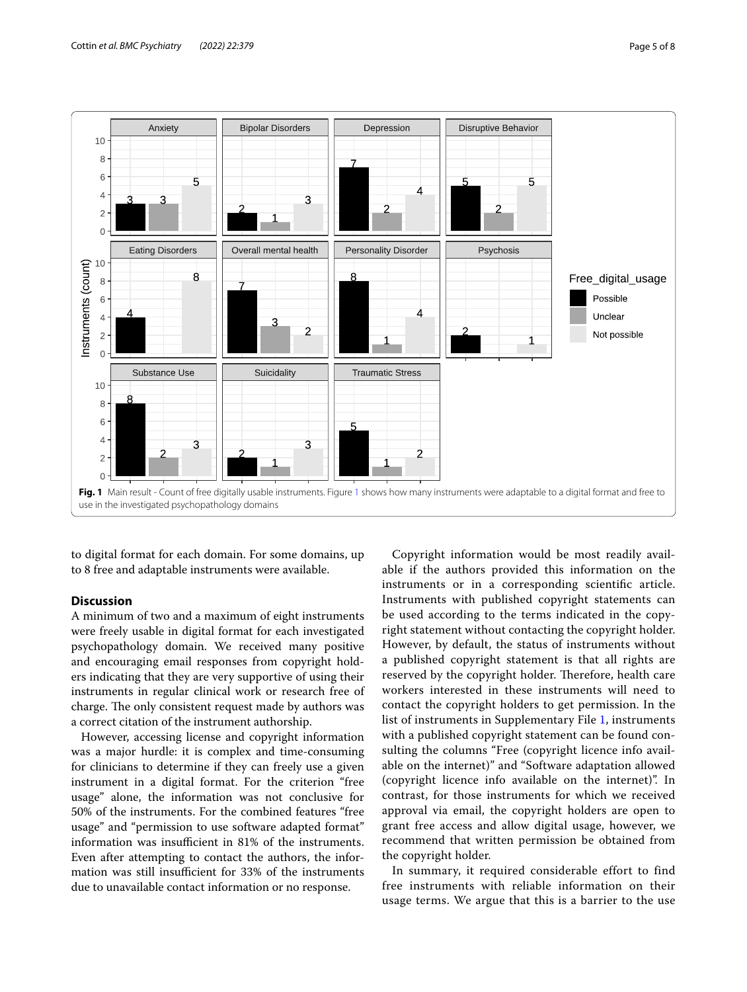

<span id="page-4-0"></span>to digital format for each domain. For some domains, up to 8 free and adaptable instruments were available.

# **Discussion**

A minimum of two and a maximum of eight instruments were freely usable in digital format for each investigated psychopathology domain. We received many positive and encouraging email responses from copyright holders indicating that they are very supportive of using their instruments in regular clinical work or research free of charge. The only consistent request made by authors was a correct citation of the instrument authorship.

However, accessing license and copyright information was a major hurdle: it is complex and time-consuming for clinicians to determine if they can freely use a given instrument in a digital format. For the criterion "free usage" alone, the information was not conclusive for 50% of the instruments. For the combined features "free usage" and "permission to use software adapted format" information was insufficient in 81% of the instruments. Even after attempting to contact the authors, the information was still insufficient for 33% of the instruments due to unavailable contact information or no response.

Copyright information would be most readily available if the authors provided this information on the instruments or in a corresponding scientifc article. Instruments with published copyright statements can be used according to the terms indicated in the copyright statement without contacting the copyright holder. However, by default, the status of instruments without a published copyright statement is that all rights are reserved by the copyright holder. Therefore, health care workers interested in these instruments will need to contact the copyright holders to get permission. In the list of instruments in Supplementary File [1](#page-6-12), instruments with a published copyright statement can be found consulting the columns "Free (copyright licence info available on the internet)" and "Software adaptation allowed (copyright licence info available on the internet)". In contrast, for those instruments for which we received approval via email, the copyright holders are open to grant free access and allow digital usage, however, we recommend that written permission be obtained from the copyright holder.

In summary, it required considerable effort to find free instruments with reliable information on their usage terms. We argue that this is a barrier to the use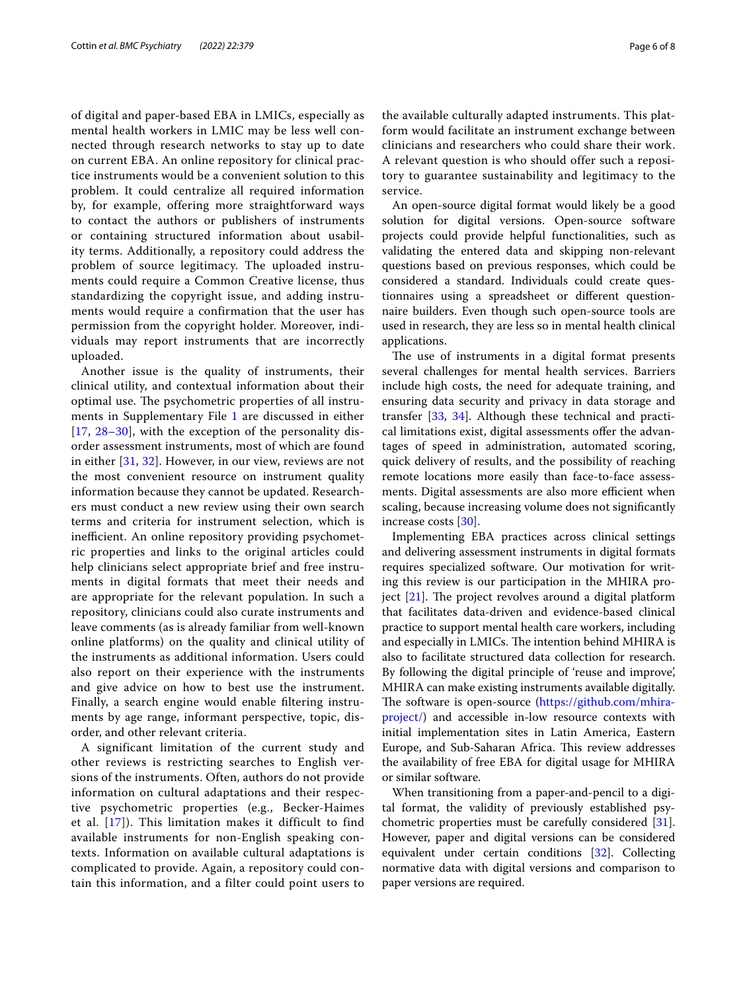of digital and paper-based EBA in LMICs, especially as mental health workers in LMIC may be less well connected through research networks to stay up to date on current EBA. An online repository for clinical practice instruments would be a convenient solution to this problem. It could centralize all required information by, for example, offering more straightforward ways to contact the authors or publishers of instruments or containing structured information about usability terms. Additionally, a repository could address the problem of source legitimacy. The uploaded instruments could require a Common Creative license, thus standardizing the copyright issue, and adding instruments would require a confirmation that the user has permission from the copyright holder. Moreover, individuals may report instruments that are incorrectly uploaded.

Another issue is the quality of instruments, their clinical utility, and contextual information about their optimal use. The psychometric properties of all instru-ments in Supplementary File [1](#page-6-12) are discussed in either [[17](#page-7-5), [28](#page-7-16)[–30](#page-7-17)], with the exception of the personality disorder assessment instruments, most of which are found in either [\[31](#page-7-18), [32\]](#page-7-19). However, in our view, reviews are not the most convenient resource on instrument quality information because they cannot be updated. Researchers must conduct a new review using their own search terms and criteria for instrument selection, which is inefficient. An online repository providing psychometric properties and links to the original articles could help clinicians select appropriate brief and free instruments in digital formats that meet their needs and are appropriate for the relevant population. In such a repository, clinicians could also curate instruments and leave comments (as is already familiar from well-known online platforms) on the quality and clinical utility of the instruments as additional information. Users could also report on their experience with the instruments and give advice on how to best use the instrument. Finally, a search engine would enable fltering instruments by age range, informant perspective, topic, disorder, and other relevant criteria.

A significant limitation of the current study and other reviews is restricting searches to English versions of the instruments. Often, authors do not provide information on cultural adaptations and their respective psychometric properties (e.g., Becker-Haimes et al. [[17\]](#page-7-5)). This limitation makes it difficult to find available instruments for non-English speaking contexts. Information on available cultural adaptations is complicated to provide. Again, a repository could contain this information, and a filter could point users to the available culturally adapted instruments. This platform would facilitate an instrument exchange between clinicians and researchers who could share their work. A relevant question is who should offer such a repository to guarantee sustainability and legitimacy to the service.

An open-source digital format would likely be a good solution for digital versions. Open-source software projects could provide helpful functionalities, such as validating the entered data and skipping non-relevant questions based on previous responses, which could be considered a standard. Individuals could create questionnaires using a spreadsheet or diferent questionnaire builders. Even though such open-source tools are used in research, they are less so in mental health clinical applications.

The use of instruments in a digital format presents several challenges for mental health services. Barriers include high costs, the need for adequate training, and ensuring data security and privacy in data storage and transfer [\[33](#page-7-20), [34\]](#page-7-21). Although these technical and practical limitations exist, digital assessments offer the advantages of speed in administration, automated scoring, quick delivery of results, and the possibility of reaching remote locations more easily than face-to-face assessments. Digital assessments are also more efficient when scaling, because increasing volume does not signifcantly increase costs [[30](#page-7-17)].

Implementing EBA practices across clinical settings and delivering assessment instruments in digital formats requires specialized software. Our motivation for writing this review is our participation in the MHIRA project  $[21]$  $[21]$ . The project revolves around a digital platform that facilitates data-driven and evidence-based clinical practice to support mental health care workers, including and especially in LMICs. The intention behind MHIRA is also to facilitate structured data collection for research. By following the digital principle of 'reuse and improve', MHIRA can make existing instruments available digitally. The software is open-source [\(https://github.com/mhira](https://github.com/mhira-project/)[project/](https://github.com/mhira-project/)) and accessible in-low resource contexts with initial implementation sites in Latin America, Eastern Europe, and Sub-Saharan Africa. This review addresses the availability of free EBA for digital usage for MHIRA or similar software.

When transitioning from a paper-and-pencil to a digital format, the validity of previously established psychometric properties must be carefully considered [\[31](#page-7-18)]. However, paper and digital versions can be considered equivalent under certain conditions [\[32](#page-7-19)]. Collecting normative data with digital versions and comparison to paper versions are required.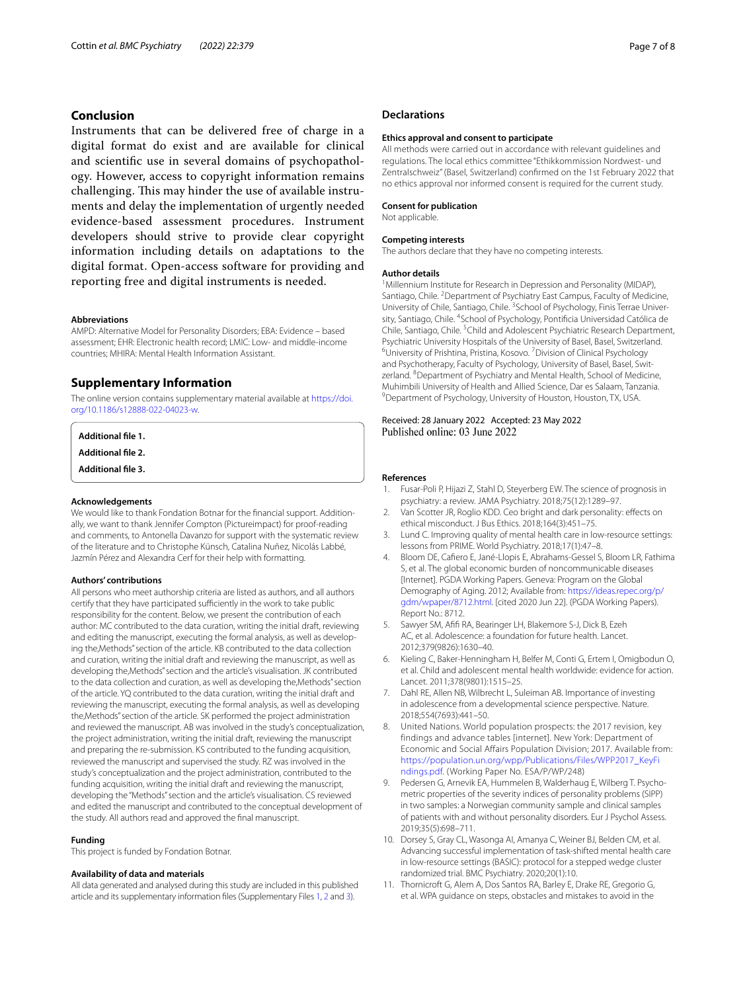# **Conclusion**

Instruments that can be delivered free of charge in a digital format do exist and are available for clinical and scientifc use in several domains of psychopathology. However, access to copyright information remains challenging. This may hinder the use of available instruments and delay the implementation of urgently needed evidence-based assessment procedures. Instrument developers should strive to provide clear copyright information including details on adaptations to the digital format. Open-access software for providing and reporting free and digital instruments is needed.

#### **Abbreviations**

AMPD: Alternative Model for Personality Disorders; EBA: Evidence – based assessment; EHR: Electronic health record; LMIC: Low- and middle-income countries; MHIRA: Mental Health Information Assistant.

# **Supplementary Information**

The online version contains supplementary material available at [https://doi.](https://doi.org/10.1186/s12888-022-04023-w) [org/10.1186/s12888-022-04023-w.](https://doi.org/10.1186/s12888-022-04023-w)

<span id="page-6-12"></span><span id="page-6-11"></span>**Additional fle 1.**

<span id="page-6-13"></span>**Additional fle 2.**

**Additional fle 3.**

#### **Acknowledgements**

We would like to thank Fondation Botnar for the fnancial support. Additionally, we want to thank Jennifer Compton (Pictureimpact) for proof-reading and comments, to Antonella Davanzo for support with the systematic review of the literature and to Christophe Künsch, Catalina Nuñez, Nicolás Labbé, Jazmín Pérez and Alexandra Cerf for their help with formatting.

#### **Authors' contributions**

All persons who meet authorship criteria are listed as authors, and all authors certify that they have participated sufficiently in the work to take public responsibility for the content. Below, we present the contribution of each author: MC contributed to the data curation, writing the initial draft, reviewing and editing the manuscript, executing the formal analysis, as well as developing the,Methods" section of the article. KB contributed to the data collection and curation, writing the initial draft and reviewing the manuscript, as well as developing the,Methods" section and the article's visualisation. JK contributed to the data collection and curation, as well as developing the,Methods" section of the article. YQ contributed to the data curation, writing the initial draft and reviewing the manuscript, executing the formal analysis, as well as developing the,Methods" section of the article. SK performed the project administration and reviewed the manuscript. AB was involved in the study's conceptualization, the project administration, writing the initial draft, reviewing the manuscript and preparing the re-submission. KS contributed to the funding acquisition, reviewed the manuscript and supervised the study. RZ was involved in the study's conceptualization and the project administration, contributed to the funding acquisition, writing the initial draft and reviewing the manuscript, developing the"Methods" section and the article's visualisation. CS reviewed and edited the manuscript and contributed to the conceptual development of the study. All authors read and approved the fnal manuscript.

#### **Funding**

This project is funded by Fondation Botnar.

# **Availability of data and materials**

All data generated and analysed during this study are included in this published article and its supplementary information fles (Supplementary Files [1,](#page-6-12) [2](#page-6-11) and [3\)](#page-6-13).

# **Declarations**

#### **Ethics approval and consent to participate**

All methods were carried out in accordance with relevant quidelines and regulations. The local ethics committee "Ethikkommission Nordwest- und Zentralschweiz" (Basel, Switzerland) confrmed on the 1st February 2022 that no ethics approval nor informed consent is required for the current study.

## **Consent for publication**

Not applicable.

#### **Competing interests**

The authors declare that they have no competing interests.

#### **Author details**

<sup>1</sup> Millennium Institute for Research in Depression and Personality (MIDAP), Santiago, Chile. <sup>2</sup> Department of Psychiatry East Campus, Faculty of Medicine, University of Chile, Santiago, Chile. <sup>3</sup> School of Psychology, Finis Terrae University, Santiago, Chile. <sup>4</sup>School of Psychology, Pontificia Universidad Católica de Chile, Santiago, Chile.<sup>5</sup> Child and Adolescent Psychiatric Research Department, Psychiatric University Hospitals of the University of Basel, Basel, Switzerland. University of Prishtina, Pristina, Kosovo. <sup>7</sup> Division of Clinical Psychology and Psychotherapy, Faculty of Psychology, University of Basel, Basel, Switzerland. <sup>8</sup> Department of Psychiatry and Mental Health, School of Medicine, Muhimbili University of Health and Allied Science, Dar es Salaam, Tanzania. 9 <sup>9</sup> Department of Psychology, University of Houston, Houston, TX, USA.

# Received: 28 January 2022 Accepted: 23 May 2022 Published online: 03 June 2022

#### **References**

- <span id="page-6-0"></span>1. Fusar-Poli P, Hijazi Z, Stahl D, Steyerberg EW. The science of prognosis in psychiatry: a review. JAMA Psychiatry. 2018;75(12):1289–97.
- <span id="page-6-1"></span>2. Van Scotter JR, Roglio KDD. Ceo bright and dark personality: efects on ethical misconduct. J Bus Ethics. 2018;164(3):451–75.
- <span id="page-6-2"></span>3. Lund C. Improving quality of mental health care in low-resource settings: lessons from PRIME. World Psychiatry. 2018;17(1):47–8.
- <span id="page-6-3"></span>4. Bloom DE, Cafero E, Jané-Llopis E, Abrahams-Gessel S, Bloom LR, Fathima S, et al. The global economic burden of noncommunicable diseases [Internet]. PGDA Working Papers. Geneva: Program on the Global Demography of Aging. 2012; Available from: [https://ideas.repec.org/p/](https://ideas.repec.org/p/gdm/wpaper/8712.html) [gdm/wpaper/8712.html](https://ideas.repec.org/p/gdm/wpaper/8712.html). [cited 2020 Jun 22]. (PGDA Working Papers). Report No.: 8712.
- <span id="page-6-4"></span>Sawyer SM, Afifi RA, Bearinger LH, Blakemore S-J, Dick B, Ezeh AC, et al. Adolescence: a foundation for future health. Lancet. 2012;379(9826):1630–40.
- <span id="page-6-5"></span>6. Kieling C, Baker-Henningham H, Belfer M, Conti G, Ertem I, Omigbodun O, et al. Child and adolescent mental health worldwide: evidence for action. Lancet. 2011;378(9801):1515–25.
- <span id="page-6-6"></span>7. Dahl RE, Allen NB, Wilbrecht L, Suleiman AB. Importance of investing in adolescence from a developmental science perspective. Nature. 2018;554(7693):441–50.
- <span id="page-6-7"></span>8. United Nations. World population prospects: the 2017 revision, key findings and advance tables [internet]. New York: Department of Economic and Social Affairs Population Division; 2017. Available from: [https://population.un.org/wpp/Publications/Files/WPP2017\\_KeyFi](https://population.un.org/wpp/Publications/Files/WPP2017_KeyFindings.pdf) [ndings.pdf.](https://population.un.org/wpp/Publications/Files/WPP2017_KeyFindings.pdf) (Working Paper No. ESA/P/WP/248)
- <span id="page-6-8"></span>9. Pedersen G, Arnevik EA, Hummelen B, Walderhaug E, Wilberg T. Psychometric properties of the severity indices of personality problems (SIPP) in two samples: a Norwegian community sample and clinical samples of patients with and without personality disorders. Eur J Psychol Assess. 2019;35(5):698–711.
- <span id="page-6-9"></span>10. Dorsey S, Gray CL, Wasonga AI, Amanya C, Weiner BJ, Belden CM, et al. Advancing successful implementation of task-shifted mental health care in low-resource settings (BASIC): protocol for a stepped wedge cluster randomized trial. BMC Psychiatry. 2020;20(1):10.
- <span id="page-6-10"></span>11. Thornicroft G, Alem A, Dos Santos RA, Barley E, Drake RE, Gregorio G, et al. WPA guidance on steps, obstacles and mistakes to avoid in the